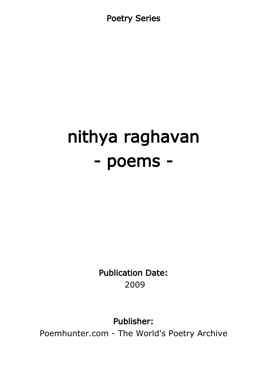Poetry Series

# nithya raghavan - poems -

Publication Date: 2009

Publisher:

Poemhunter.com - The World's Poetry Archive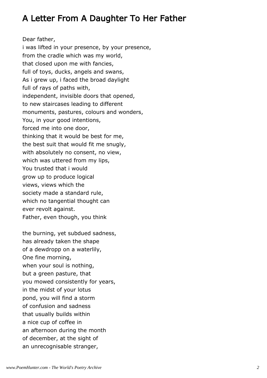## A Letter From A Daughter To Her Father

Dear father, i was lifted in your presence, by your presence, from the cradle which was my world, that closed upon me with fancies, full of toys, ducks, angels and swans, As i grew up, i faced the broad daylight full of rays of paths with, independent, invisible doors that opened, to new staircases leading to different monuments, pastures, colours and wonders, You, in your good intentions, forced me into one door, thinking that it would be best for me, the best suit that would fit me snugly, with absolutely no consent, no view, which was uttered from my lips, You trusted that i would grow up to produce logical views, views which the society made a standard rule, which no tangential thought can ever revolt against. Father, even though, you think

the burning, yet subdued sadness, has already taken the shape of a dewdropp on a waterlily, One fine morning, when your soul is nothing, but a green pasture, that you mowed consistently for years, in the midst of your lotus pond, you will find a storm of confusion and sadness that usually builds within a nice cup of coffee in an afternoon during the month of december, at the sight of an unrecognisable stranger,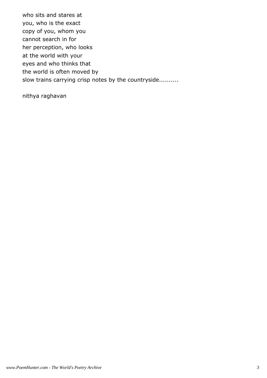who sits and stares at you, who is the exact copy of you, whom you cannot search in for her perception, who looks at the world with your eyes and who thinks that the world is often moved by slow trains carrying crisp notes by the countryside..........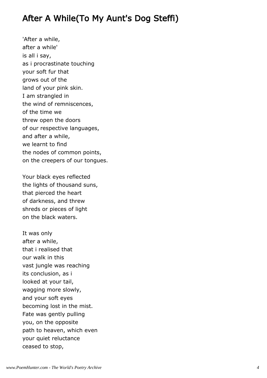#### After A While(To My Aunt's Dog Steffi)

'After a while, after a while' is all i say, as i procrastinate touching your soft fur that grows out of the land of your pink skin. I am strangled in the wind of remniscences, of the time we threw open the doors of our respective languages, and after a while, we learnt to find the nodes of common points, on the creepers of our tongues.

Your black eyes reflected the lights of thousand suns, that pierced the heart of darkness, and threw shreds or pieces of light on the black waters.

It was only after a while, that i realised that our walk in this vast jungle was reaching its conclusion, as i looked at your tail, wagging more slowly, and your soft eyes becoming lost in the mist. Fate was gently pulling you, on the opposite path to heaven, which even your quiet reluctance ceased to stop,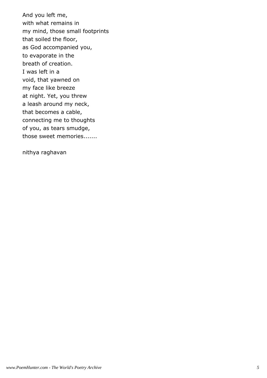And you left me, with what remains in my mind, those small footprints that soiled the floor, as God accompanied you, to evaporate in the breath of creation. I was left in a void, that yawned on my face like breeze at night. Yet, you threw a leash around my neck, that becomes a cable, connecting me to thoughts of you, as tears smudge, those sweet memories.......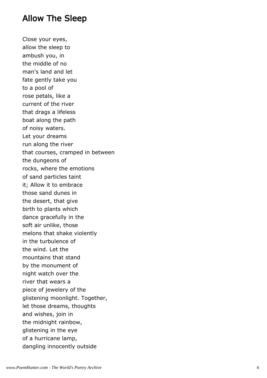#### Allow The Sleep

Close your eyes, allow the sleep to ambush you, in the middle of no man's land and let fate gently take you to a pool of rose petals, like a current of the river that drags a lifeless boat along the path of noisy waters. Let your dreams run along the river that courses, cramped in between the dungeons of rocks, where the emotions of sand particles taint it; Allow it to embrace those sand dunes in the desert, that give birth to plants which dance gracefully in the soft air unlike, those melons that shake violently in the turbulence of the wind. Let the mountains that stand by the monument of night watch over the river that wears a piece of jewelery of the glistening moonlight. Together, let those dreams, thoughts and wishes, join in the midnight rainbow, glistening in the eye of a hurricane lamp, dangling innocently outside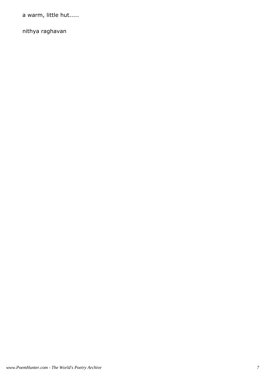a warm, little hut.....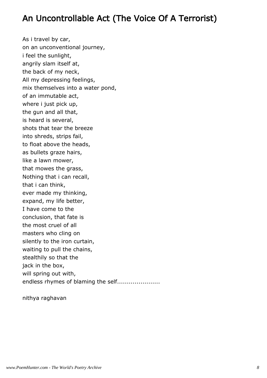## An Uncontrollable Act (The Voice Of A Terrorist)

As i travel by car, on an unconventional journey, i feel the sunlight, angrily slam itself at, the back of my neck, All my depressing feelings, mix themselves into a water pond, of an immutable act, where i just pick up, the gun and all that, is heard is several, shots that tear the breeze into shreds, strips fail, to float above the heads, as bullets graze hairs, like a lawn mower, that mowes the grass, Nothing that i can recall, that i can think, ever made my thinking, expand, my life better, I have come to the conclusion, that fate is the most cruel of all masters who cling on silently to the iron curtain, waiting to pull the chains, stealthily so that the jack in the box, will spring out with, endless rhymes of blaming the self......................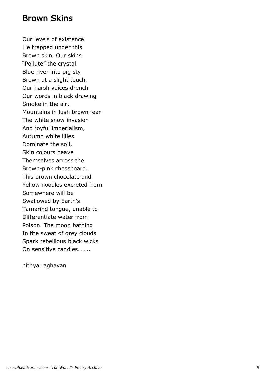#### Brown Skins

Our levels of existence Lie trapped under this Brown skin. Our skins "Pollute" the crystal Blue river into pig sty Brown at a slight touch, Our harsh voices drench Our words in black drawing Smoke in the air. Mountains in lush brown fear The white snow invasion And joyful imperialism, Autumn white lilies Dominate the soil, Skin colours heave Themselves across the Brown-pink chessboard. This brown chocolate and Yellow noodles excreted from Somewhere will be Swallowed by Earth's Tamarind tongue, unable to Differentiate water from Poison. The moon bathing In the sweat of grey clouds Spark rebellious black wicks On sensitive candles……..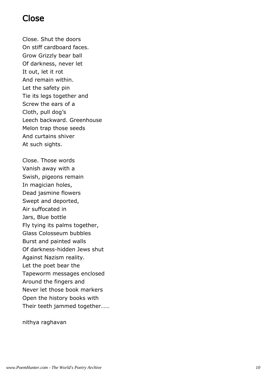#### Close

Close. Shut the doors On stiff cardboard faces. Grow Grizzly bear ball Of darkness, never let It out, let it rot And remain within. Let the safety pin Tie its legs together and Screw the ears of a Cloth, pull dog's Leech backward. Greenhouse Melon trap those seeds And curtains shiver At such sights.

Close. Those words Vanish away with a Swish, pigeons remain In magician holes, Dead jasmine flowers Swept and deported, Air suffocated in Jars, Blue bottle Fly tying its palms together, Glass Colosseum bubbles Burst and painted walls Of darkness-hidden Jews shut Against Nazism reality. Let the poet bear the Tapeworm messages enclosed Around the fingers and Never let those book markers Open the history books with Their teeth jammed together……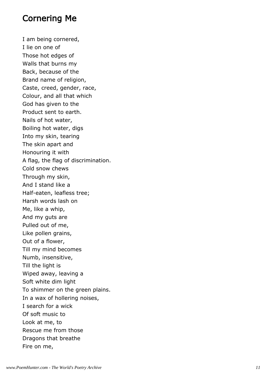#### Cornering Me

I am being cornered, I lie on one of Those hot edges of Walls that burns my Back, because of the Brand name of religion, Caste, creed, gender, race, Colour, and all that which God has given to the Product sent to earth. Nails of hot water, Boiling hot water, digs Into my skin, tearing The skin apart and Honouring it with A flag, the flag of discrimination. Cold snow chews Through my skin, And I stand like a Half-eaten, leafless tree; Harsh words lash on Me, like a whip, And my guts are Pulled out of me, Like pollen grains, Out of a flower, Till my mind becomes Numb, insensitive, Till the light is Wiped away, leaving a Soft white dim light To shimmer on the green plains. In a wax of hollering noises, I search for a wick Of soft music to Look at me, to Rescue me from those Dragons that breathe Fire on me,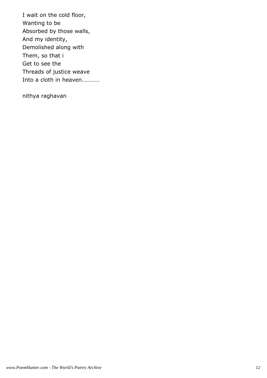I wait on the cold floor, Wanting to be Absorbed by those walls, And my identity, Demolished along with Them, so that i Get to see the Threads of justice weave Into a cloth in heaven…………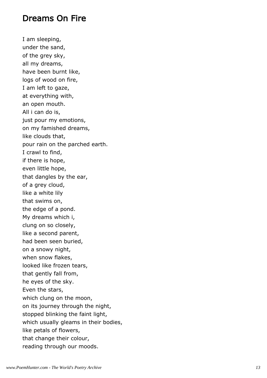#### Dreams On Fire

I am sleeping, under the sand, of the grey sky, all my dreams, have been burnt like, logs of wood on fire, I am left to gaze, at everything with, an open mouth. All i can do is, just pour my emotions, on my famished dreams, like clouds that, pour rain on the parched earth. I crawl to find, if there is hope, even little hope, that dangles by the ear, of a grey cloud, like a white lily that swims on, the edge of a pond. My dreams which i, clung on so closely, like a second parent, had been seen buried, on a snowy night, when snow flakes, looked like frozen tears, that gently fall from, he eyes of the sky. Even the stars, which clung on the moon, on its journey through the night, stopped blinking the faint light, which usually gleams in their bodies, like petals of flowers, that change their colour, reading through our moods.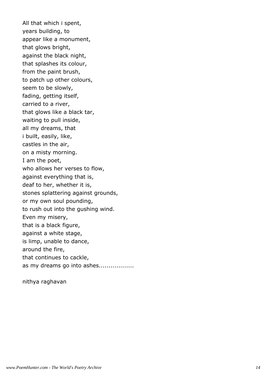All that which i spent, years building, to appear like a monument, that glows bright, against the black night, that splashes its colour, from the paint brush, to patch up other colours, seem to be slowly, fading, getting itself, carried to a river, that glows like a black tar, waiting to pull inside, all my dreams, that i built, easily, like, castles in the air, on a misty morning. I am the poet, who allows her verses to flow, against everything that is, deaf to her, whether it is, stones splattering against grounds, or my own soul pounding, to rush out into the gushing wind. Even my misery, that is a black figure, against a white stage, is limp, unable to dance, around the fire, that continues to cackle, as my dreams go into ashes..................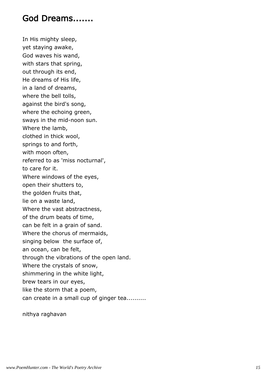#### God Dreams.......

In His mighty sleep, yet staying awake, God waves his wand, with stars that spring, out through its end, He dreams of His life, in a land of dreams, where the bell tolls, against the bird's song, where the echoing green, sways in the mid-noon sun. Where the lamb, clothed in thick wool, springs to and forth, with moon often, referred to as 'miss nocturnal', to care for it. Where windows of the eyes, open their shutters to, the golden fruits that, lie on a waste land, Where the vast abstractness, of the drum beats of time, can be felt in a grain of sand. Where the chorus of mermaids, singing below the surface of, an ocean, can be felt, through the vibrations of the open land. Where the crystals of snow, shimmering in the white light, brew tears in our eyes, like the storm that a poem, can create in a small cup of ginger tea..........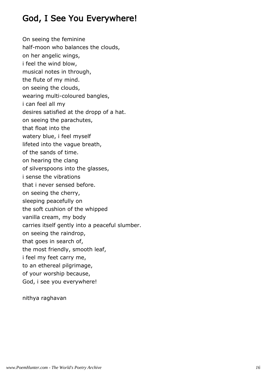## God, I See You Everywhere!

On seeing the feminine half-moon who balances the clouds, on her angelic wings, i feel the wind blow, musical notes in through, the flute of my mind. on seeing the clouds, wearing multi-coloured bangles, i can feel all my desires satisfied at the dropp of a hat. on seeing the parachutes, that float into the watery blue, i feel myself lifeted into the vague breath, of the sands of time. on hearing the clang of silverspoons into the glasses, i sense the vibrations that i never sensed before. on seeing the cherry, sleeping peacefully on the soft cushion of the whipped vanilla cream, my body carries itself gently into a peaceful slumber. on seeing the raindrop, that goes in search of, the most friendly, smooth leaf, i feel my feet carry me, to an ethereal pilgrimage, of your worship because, God, i see you everywhere!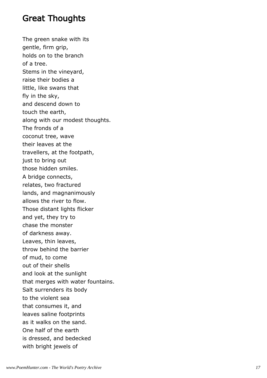#### Great Thoughts

The green snake with its gentle, firm grip, holds on to the branch of a tree. Stems in the vineyard, raise their bodies a little, like swans that fly in the sky, and descend down to touch the earth, along with our modest thoughts. The fronds of a coconut tree, wave their leaves at the travellers, at the footpath, just to bring out those hidden smiles. A bridge connects, relates, two fractured lands, and magnanimously allows the river to flow. Those distant lights flicker and yet, they try to chase the monster of darkness away. Leaves, thin leaves, throw behind the barrier of mud, to come out of their shells and look at the sunlight that merges with water fountains. Salt surrenders its body to the violent sea that consumes it, and leaves saline footprints as it walks on the sand. One half of the earth is dressed, and bedecked with bright jewels of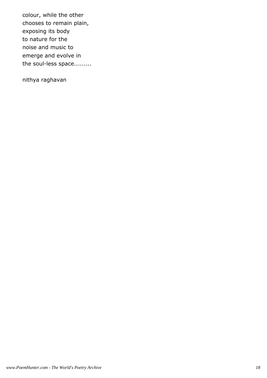colour, while the other chooses to remain plain, exposing its body to nature for the noise and music to emerge and evolve in the soul-less space.........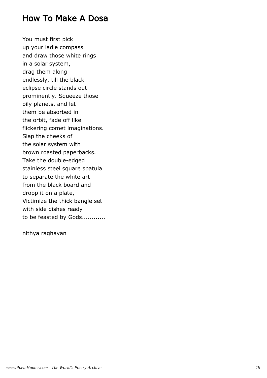#### How To Make A Dosa

You must first pick up your ladle compass and draw those white rings in a solar system, drag them along endlessly, till the black eclipse circle stands out prominently. Squeeze those oily planets, and let them be absorbed in the orbit, fade off like flickering comet imaginations. Slap the cheeks of the solar system with brown roasted paperbacks. Take the double-edged stainless steel square spatula to separate the white art from the black board and dropp it on a plate, Victimize the thick bangle set with side dishes ready to be feasted by Gods............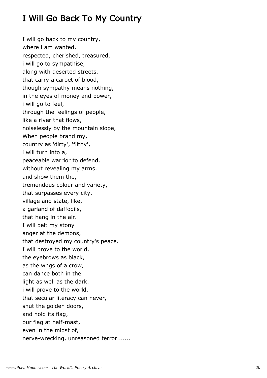## I Will Go Back To My Country

I will go back to my country, where i am wanted, respected, cherished, treasured, i will go to sympathise, along with deserted streets, that carry a carpet of blood, though sympathy means nothing, in the eyes of money and power, i will go to feel, through the feelings of people, like a river that flows, noiselessly by the mountain slope, When people brand my, country as 'dirty', 'filthy', i will turn into a, peaceable warrior to defend, without revealing my arms, and show them the, tremendous colour and variety, that surpasses every city, village and state, like, a garland of daffodils, that hang in the air. I will pelt my stony anger at the demons, that destroyed my country's peace. I will prove to the world, the eyebrows as black, as the wngs of a crow, can dance both in the light as well as the dark. i will prove to the world, that secular literacy can never, shut the golden doors, and hold its flag, our flag at half-mast, even in the midst of, nerve-wrecking, unreasoned terror.......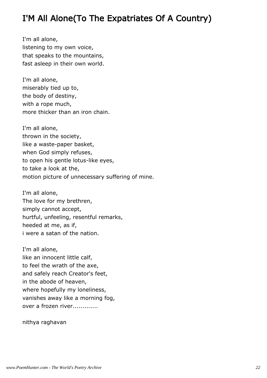## I'M All Alone(To The Expatriates Of A Country)

I'm all alone, listening to my own voice, that speaks to the mountains, fast asleep in their own world.

I'm all alone, miserably tied up to, the body of destiny, with a rope much, more thicker than an iron chain.

I'm all alone, thrown in the society, like a waste-paper basket, when God simply refuses, to open his gentle lotus-like eyes, to take a look at the, motion picture of unnecessary suffering of mine.

I'm all alone, The love for my brethren, simply cannot accept, hurtful, unfeeling, resentful remarks, heeded at me, as if, i were a satan of the nation.

I'm all alone, like an innocent little calf, to feel the wrath of the axe, and safely reach Creator's feet, in the abode of heaven, where hopefully my loneliness, vanishes away like a morning fog, over a frozen river.............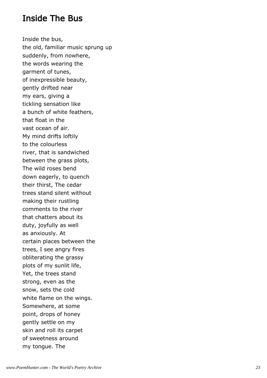#### Inside The Bus

Inside the bus, the old, familiar music sprung up suddenly, from nowhere, the words wearing the garment of tunes, of inexpressible beauty, gently drifted near my ears, giving a tickling sensation like a bunch of white feathers, that float in the vast ocean of air. My mind drifts loftily to the colourless river, that is sandwiched between the grass plots, The wild roses bend down eagerly, to quench their thirst, The cedar trees stand silent without making their rustling comments to the river that chatters about its duty, joyfully as well as anxiously. At certain places between the trees, I see angry fires obliterating the grassy plots of my sunlit life, Yet, the trees stand strong, even as the snow, sets the cold white flame on the wings. Somewhere, at some point, drops of honey gently settle on my skin and roll its carpet of sweetness around my tongue. The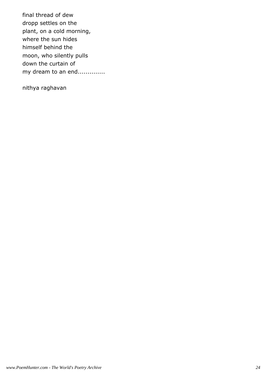final thread of dew dropp settles on the plant, on a cold morning, where the sun hides himself behind the moon, who silently pulls down the curtain of my dream to an end..............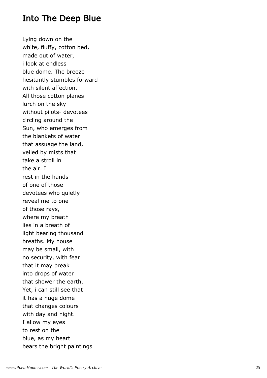#### Into The Deep Blue

Lying down on the white, fluffy, cotton bed, made out of water, i look at endless blue dome. The breeze hesitantly stumbles forward with silent affection. All those cotton planes lurch on the sky without pilots- devotees circling around the Sun, who emerges from the blankets of water that assuage the land, veiled by mists that take a stroll in the air. I rest in the hands of one of those devotees who quietly reveal me to one of those rays, where my breath lies in a breath of light bearing thousand breaths. My house may be small, with no security, with fear that it may break into drops of water that shower the earth, Yet, i can still see that it has a huge dome that changes colours with day and night. I allow my eyes to rest on the blue, as my heart bears the bright paintings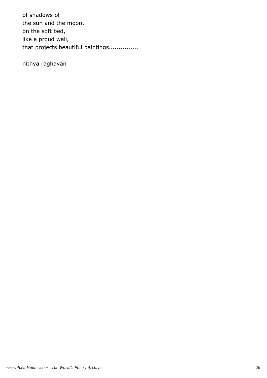of shadows of the sun and the moon, on the soft bed, like a proud wall, that projects beautiful paintings...............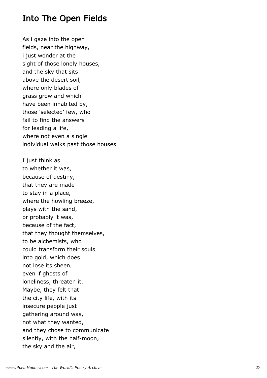#### Into The Open Fields

As i gaze into the open fields, near the highway, i just wonder at the sight of those lonely houses, and the sky that sits above the desert soil, where only blades of grass grow and which have been inhabited by, those 'selected' few, who fail to find the answers for leading a life, where not even a single individual walks past those houses.

I just think as to whether it was, because of destiny, that they are made to stay in a place, where the howling breeze, plays with the sand, or probably it was, because of the fact, that they thought themselves, to be alchemists, who could transform their souls into gold, which does not lose its sheen, even if ghosts of loneliness, threaten it. Maybe, they felt that the city life, with its insecure people just gathering around was, not what they wanted, and they chose to communicate silently, with the half-moon, the sky and the air,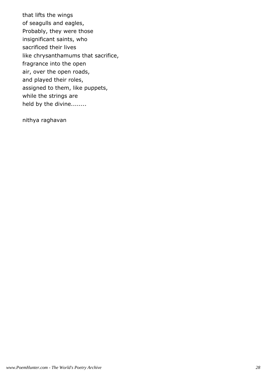that lifts the wings of seagulls and eagles, Probably, they were those insignificant saints, who sacrificed their lives like chrysanthamums that sacrifice, fragrance into the open air, over the open roads, and played their roles, assigned to them, like puppets, while the strings are held by the divine........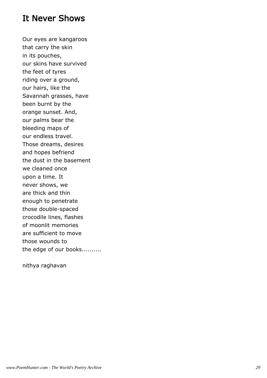#### It Never Shows

Our eyes are kangaroos that carry the skin in its pouches, our skins have survived the feet of tyres riding over a ground, our hairs, like the Savannah grasses, have been burnt by the orange sunset. And, our palms bear the bleeding maps of our endless travel. Those dreams, desires and hopes befriend the dust in the basement we cleaned once upon a time. It never shows, we are thick and thin enough to penetrate those double-spaced crocodile lines, flashes of moonlit memories are sufficient to move those wounds to the edge of our books..........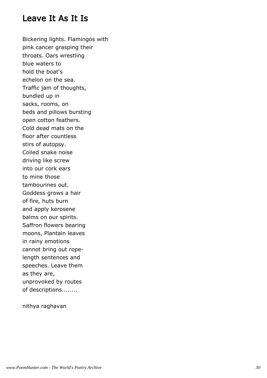#### Leave It As It Is

Bickering lights. Flamingos with pink cancer grasping their throats. Oars wrestling blue waters to hold the boat's echelon on the sea. Traffic jam of thoughts, bundled up in sacks, rooms, on beds and pillows bursting open cotton feathers. Cold dead mats on the floor after countless stirs of autopsy. Coiled snake noise driving like screw into our cork ears to mine those tambourines out. Goddess grows a hair of fire, huts burn and apply kerosene balms on our spirits. Saffron flowers bearing moons, Plantain leaves in rainy emotions cannot bring out ropelength sentences and speeches. Leave them as they are, unprovoked by routes of descriptions........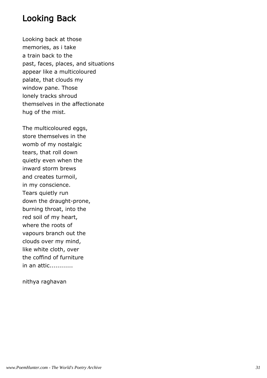#### Looking Back

Looking back at those memories, as i take a train back to the past, faces, places, and situations appear like a multicoloured palate, that clouds my window pane. Those lonely tracks shroud themselves in the affectionate hug of the mist.

The multicoloured eggs, store themselves in the womb of my nostalgic tears, that roll down quietly even when the inward storm brews and creates turmoil, in my conscience. Tears quietly run down the draught-prone, burning throat, into the red soil of my heart, where the roots of vapours branch out the clouds over my mind, like white cloth, over the coffind of furniture in an attic............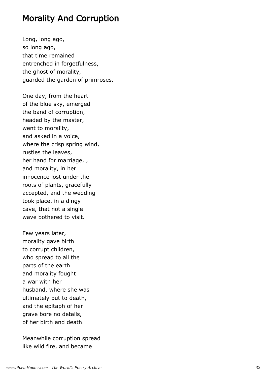#### Morality And Corruption

Long, long ago, so long ago, that time remained entrenched in forgetfulness, the ghost of morality, guarded the garden of primroses.

One day, from the heart of the blue sky, emerged the band of corruption, headed by the master, went to morality, and asked in a voice, where the crisp spring wind, rustles the leaves, her hand for marriage, , and morality, in her innocence lost under the roots of plants, gracefully accepted, and the wedding took place, in a dingy cave, that not a single wave bothered to visit.

Few years later, morality gave birth to corrupt children, who spread to all the parts of the earth and morality fought a war with her husband, where she was ultimately put to death, and the epitaph of her grave bore no details, of her birth and death.

Meanwhile corruption spread like wild fire, and became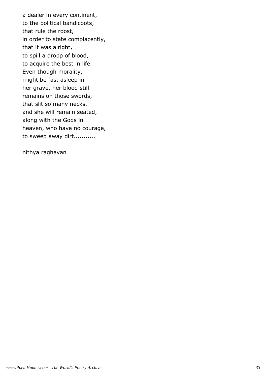a dealer in every continent, to the political bandicoots, that rule the roost, in order to state complacently, that it was alright, to spill a dropp of blood, to acquire the best in life. Even though morality, might be fast asleep in her grave, her blood still remains on those swords, that slit so many necks, and she will remain seated, along with the Gods in heaven, who have no courage, to sweep away dirt...........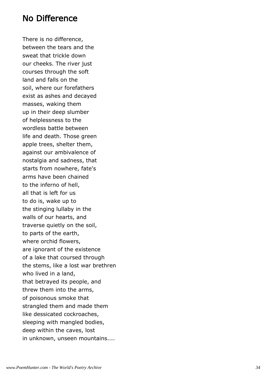#### No Difference

There is no difference, between the tears and the sweat that trickle down our cheeks. The river just courses through the soft land and falls on the soil, where our forefathers exist as ashes and decayed masses, waking them up in their deep slumber of helplessness to the wordless battle between life and death. Those green apple trees, shelter them, against our ambivalence of nostalgia and sadness, that starts from nowhere, fate's arms have been chained to the inferno of hell, all that is left for us to do is, wake up to the stinging lullaby in the walls of our hearts, and traverse quietly on the soil, to parts of the earth, where orchid flowers, are ignorant of the existence of a lake that coursed through the stems, like a lost war brethren who lived in a land, that betrayed its people, and threw them into the arms, of poisonous smoke that strangled them and made them like dessicated cockroaches, sleeping with mangled bodies, deep within the caves, lost in unknown, unseen mountains....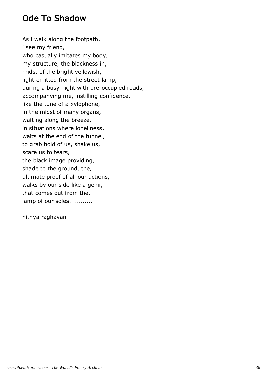# Ode To Shadow

As i walk along the footpath, i see my friend, who casually imitates my body, my structure, the blackness in, midst of the bright yellowish, light emitted from the street lamp, during a busy night with pre-occupied roads, accompanying me, instilling confidence, like the tune of a xylophone, in the midst of many organs, wafting along the breeze, in situations where loneliness, waits at the end of the tunnel, to grab hold of us, shake us, scare us to tears, the black image providing, shade to the ground, the, ultimate proof of all our actions, walks by our side like a genii, that comes out from the, lamp of our soles............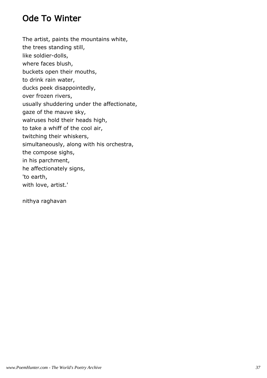# Ode To Winter

The artist, paints the mountains white, the trees standing still, like soldier-dolls, where faces blush, buckets open their mouths, to drink rain water, ducks peek disappointedly, over frozen rivers, usually shuddering under the affectionate, gaze of the mauve sky, walruses hold their heads high, to take a whiff of the cool air, twitching their whiskers, simultaneously, along with his orchestra, the compose sighs, in his parchment, he affectionately signs, 'to earth, with love, artist.'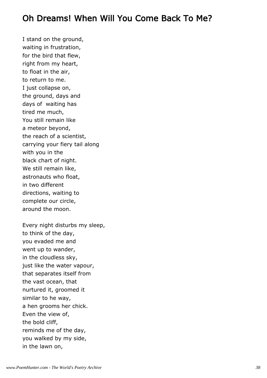### Oh Dreams! When Will You Come Back To Me?

I stand on the ground, waiting in frustration, for the bird that flew, right from my heart, to float in the air, to return to me. I just collapse on, the ground, days and days of waiting has tired me much, You still remain like a meteor beyond, the reach of a scientist, carrying your fiery tail along with you in the black chart of night. We still remain like, astronauts who float, in two different directions, waiting to complete our circle, around the moon.

Every night disturbs my sleep, to think of the day, you evaded me and went up to wander, in the cloudless sky, just like the water vapour, that separates itself from the vast ocean, that nurtured it, groomed it similar to he way, a hen grooms her chick. Even the view of, the bold cliff, reminds me of the day, you walked by my side, in the lawn on,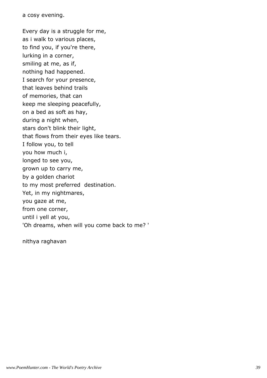a cosy evening.

Every day is a struggle for me, as i walk to various places, to find you, if you're there, lurking in a corner, smiling at me, as if, nothing had happened. I search for your presence, that leaves behind trails of memories, that can keep me sleeping peacefully, on a bed as soft as hay, during a night when, stars don't blink their light, that flows from their eyes like tears. I follow you, to tell you how much i, longed to see you, grown up to carry me, by a golden chariot to my most preferred destination. Yet, in my nightmares, you gaze at me, from one corner, until i yell at you, 'Oh dreams, when will you come back to me? '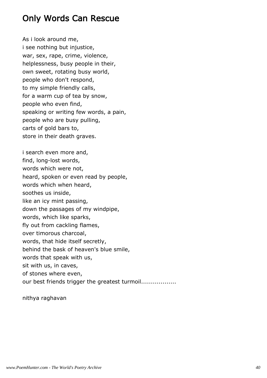# Only Words Can Rescue

As i look around me, i see nothing but injustice, war, sex, rape, crime, violence, helplessness, busy people in their, own sweet, rotating busy world, people who don't respond, to my simple friendly calls, for a warm cup of tea by snow, people who even find, speaking or writing few words, a pain, people who are busy pulling, carts of gold bars to, store in their death graves.

i search even more and, find, long-lost words, words which were not, heard, spoken or even read by people, words which when heard, soothes us inside, like an icy mint passing, down the passages of my windpipe, words, which like sparks, fly out from cackling flames, over timorous charcoal, words, that hide itself secretly, behind the bask of heaven's blue smile, words that speak with us, sit with us, in caves, of stones where even, our best friends trigger the greatest turmoil.................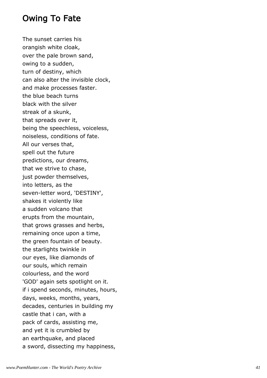### Owing To Fate

The sunset carries his orangish white cloak, over the pale brown sand, owing to a sudden, turn of destiny, which can also alter the invisible clock, and make processes faster. the blue beach turns black with the silver streak of a skunk, that spreads over it, being the speechless, voiceless, noiseless, conditions of fate. All our verses that, spell out the future predictions, our dreams, that we strive to chase, just powder themselves, into letters, as the seven-letter word, 'DESTINY', shakes it violently like a sudden volcano that erupts from the mountain, that grows grasses and herbs, remaining once upon a time, the green fountain of beauty. the starlights twinkle in our eyes, like diamonds of our souls, which remain colourless, and the word 'GOD' again sets spotlight on it. if i spend seconds, minutes, hours, days, weeks, months, years, decades, centuries in building my castle that i can, with a pack of cards, assisting me, and yet it is crumbled by an earthquake, and placed a sword, dissecting my happiness,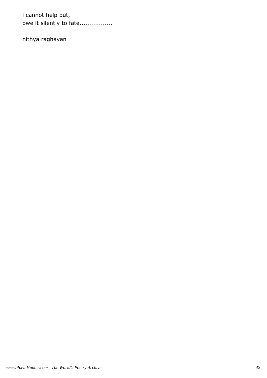i cannot help but, owe it silently to fate.................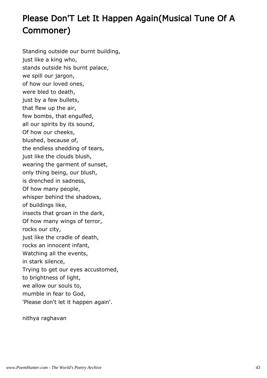# Please Don'T Let It Happen Again(Musical Tune Of A Commoner)

Standing outside our burnt building, just like a king who, stands outside his burnt palace, we spill our jargon, of how our loved ones, were bled to death, just by a few bullets, that flew up the air, few bombs, that engulfed, all our spirits by its sound, Of how our cheeks, blushed, because of, the endless shedding of tears, just like the clouds blush, wearing the garment of sunset, only thing being, our blush, is drenched in sadness, Of how many people, whisper behind the shadows, of buildings like, insects that groan in the dark, Of how many wings of terror, rocks our city, just like the cradle of death, rocks an innocent infant, Watching all the events, in stark silence, Trying to get our eyes accustomed, to brightness of light, we allow our souls to, mumble in fear to God, 'Please don't let it happen again'.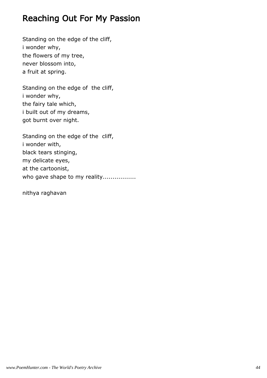# Reaching Out For My Passion

Standing on the edge of the cliff, i wonder why, the flowers of my tree, never blossom into, a fruit at spring.

Standing on the edge of the cliff, i wonder why, the fairy tale which, i built out of my dreams, got burnt over night.

Standing on the edge of the cliff, i wonder with, black tears stinging, my delicate eyes, at the cartoonist, who gave shape to my reality.................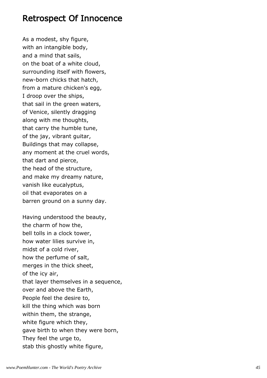#### Retrospect Of Innocence

As a modest, shy figure, with an intangible body, and a mind that sails, on the boat of a white cloud, surrounding itself with flowers, new-born chicks that hatch, from a mature chicken's egg, I droop over the ships, that sail in the green waters, of Venice, silently dragging along with me thoughts, that carry the humble tune, of the jay, vibrant guitar, Buildings that may collapse, any moment at the cruel words, that dart and pierce, the head of the structure, and make my dreamy nature, vanish like eucalyptus, oil that evaporates on a barren ground on a sunny day.

Having understood the beauty, the charm of how the, bell tolls in a clock tower, how water lilies survive in, midst of a cold river, how the perfume of salt, merges in the thick sheet, of the icy air, that layer themselves in a sequence, over and above the Earth, People feel the desire to, kill the thing which was born within them, the strange, white figure which they, gave birth to when they were born, They feel the urge to, stab this ghostly white figure,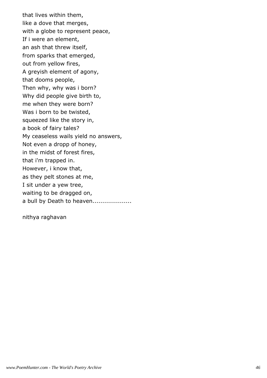that lives within them, like a dove that merges, with a globe to represent peace, If i were an element, an ash that threw itself, from sparks that emerged, out from yellow fires, A greyish element of agony, that dooms people, Then why, why was i born? Why did people give birth to, me when they were born? Was i born to be twisted, squeezed like the story in, a book of fairy tales? My ceaseless wails yield no answers, Not even a dropp of honey, in the midst of forest fires, that i'm trapped in. However, i know that, as they pelt stones at me, I sit under a yew tree, waiting to be dragged on, a bull by Death to heaven....................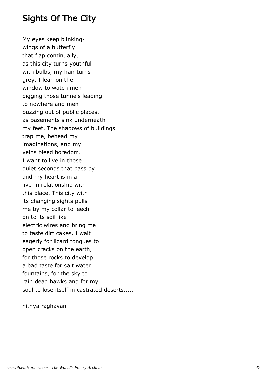# Sights Of The City

My eyes keep blinkingwings of a butterfly that flap continually, as this city turns youthful with bulbs, my hair turns grey. I lean on the window to watch men digging those tunnels leading to nowhere and men buzzing out of public places, as basements sink underneath my feet. The shadows of buildings trap me, behead my imaginations, and my veins bleed boredom. I want to live in those quiet seconds that pass by and my heart is in a live-in relationship with this place. This city with its changing sights pulls me by my collar to leech on to its soil like electric wires and bring me to taste dirt cakes. I wait eagerly for lizard tongues to open cracks on the earth, for those rocks to develop a bad taste for salt water fountains, for the sky to rain dead hawks and for my soul to lose itself in castrated deserts.....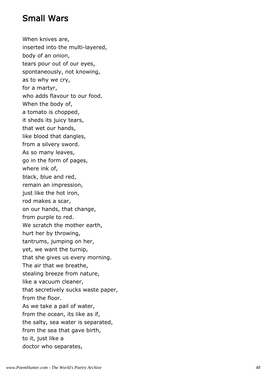### Small Wars

When knives are, inserted into the multi-layered, body of an onion, tears pour out of our eyes, spontaneously, not knowing, as to why we cry, for a martyr, who adds flavour to our food. When the body of, a tomato is chopped, it sheds its juicy tears, that wet our hands, like blood that dangles, from a silvery sword. As so many leaves, go in the form of pages, where ink of, black, blue and red, remain an impression, just like the hot iron, rod makes a scar, on our hands, that change, from purple to red. We scratch the mother earth, hurt her by throwing, tantrums, jumping on her, yet, we want the turnip, that she gives us every morning. The air that we breathe, stealing breeze from nature, like a vacuum cleaner, that secretively sucks waste paper, from the floor. As we take a pail of water, from the ocean, its like as if, the salty, sea water is separated, from the sea that gave birth, to it, just like a doctor who separates,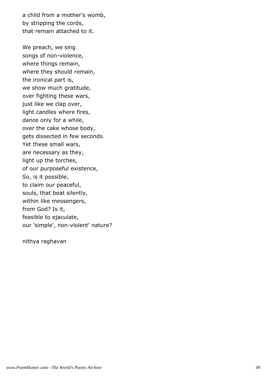a child from a mother's womb, by stripping the cords, that remain attached to it.

We preach, we sing songs of non-violence, where things remain, where they should remain, the ironical part is, we show much gratitude, over fighting these wars, just like we clap over, light candles where fires, dance only for a while, over the cake whose body, gets dissected in few seconds. Yet these small wars, are necessary as they, light up the torches, of our purposeful existence, So, is it possible, to claim our peaceful, souls, that beat silently, within like messengers, from God? Is it, feasible to ejaculate, our 'simple', non-violent' nature?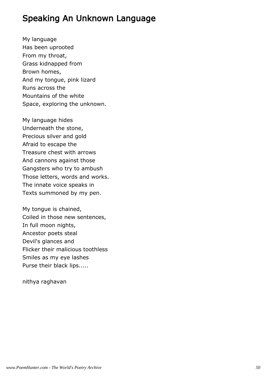### Speaking An Unknown Language

My language Has been uprooted From my throat, Grass kidnapped from Brown homes, And my tongue, pink lizard Runs across the Mountains of the white Space, exploring the unknown.

My language hides Underneath the stone, Precious silver and gold Afraid to escape the Treasure chest with arrows And cannons against those Gangsters who try to ambush Those letters, words and works. The innate voice speaks in Texts summoned by my pen.

My tongue is chained, Coiled in those new sentences, In full moon nights, Ancestor poets steal Devil's glances and Flicker their malicious toothless Smiles as my eye lashes Purse their black lips.....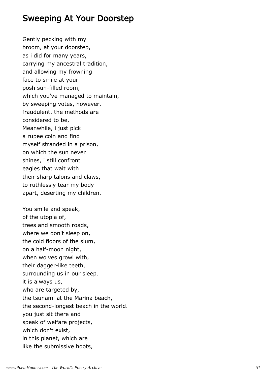#### Sweeping At Your Doorstep

Gently pecking with my broom, at your doorstep, as i did for many years, carrying my ancestral tradition, and allowing my frowning face to smile at your posh sun-filled room, which you've managed to maintain, by sweeping votes, however, fraudulent, the methods are considered to be, Meanwhile, i just pick a rupee coin and find myself stranded in a prison, on which the sun never shines, i still confront eagles that wait with their sharp talons and claws, to ruthlessly tear my body apart, deserting my children.

You smile and speak, of the utopia of, trees and smooth roads, where we don't sleep on, the cold floors of the slum, on a half-moon night, when wolves growl with, their dagger-like teeth, surrounding us in our sleep. it is always us, who are targeted by, the tsunami at the Marina beach, the second-longest beach in the world. you just sit there and speak of welfare projects, which don't exist, in this planet, which are like the submissive hoots,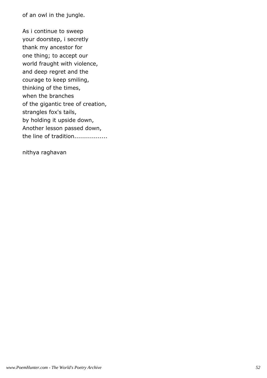of an owl in the jungle.

As i continue to sweep your doorstep, i secretly thank my ancestor for one thing; to accept our world fraught with violence, and deep regret and the courage to keep smiling, thinking of the times, when the branches of the gigantic tree of creation, strangles fox's tails, by holding it upside down, Another lesson passed down, the line of tradition.................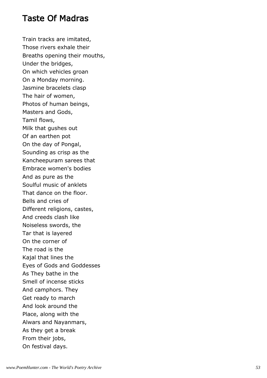### Taste Of Madras

Train tracks are imitated, Those rivers exhale their Breaths opening their mouths, Under the bridges, On which vehicles groan On a Monday morning. Jasmine bracelets clasp The hair of women, Photos of human beings, Masters and Gods, Tamil flows, Milk that gushes out Of an earthen pot On the day of Pongal, Sounding as crisp as the Kancheepuram sarees that Embrace women's bodies And as pure as the Soulful music of anklets That dance on the floor. Bells and cries of Different religions, castes, And creeds clash like Noiseless swords, the Tar that is layered On the corner of The road is the Kajal that lines the Eyes of Gods and Goddesses As They bathe in the Smell of incense sticks And camphors. They Get ready to march And look around the Place, along with the Alwars and Nayanmars, As they get a break From their jobs, On festival days.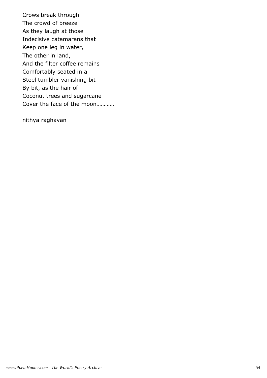Crows break through The crowd of breeze As they laugh at those Indecisive catamarans that Keep one leg in water, The other in land, And the filter coffee remains Comfortably seated in a Steel tumbler vanishing bit By bit, as the hair of Coconut trees and sugarcane Cover the face of the moon…………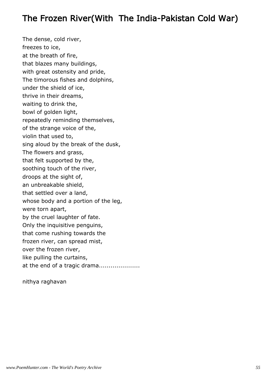# The Frozen River(With The India-Pakistan Cold War)

The dense, cold river, freezes to ice, at the breath of fire, that blazes many buildings, with great ostensity and pride, The timorous fishes and dolphins, under the shield of ice, thrive in their dreams, waiting to drink the, bowl of golden light, repeatedly reminding themselves, of the strange voice of the, violin that used to, sing aloud by the break of the dusk, The flowers and grass, that felt supported by the, soothing touch of the river, droops at the sight of, an unbreakable shield, that settled over a land, whose body and a portion of the leg, were torn apart, by the cruel laughter of fate. Only the inquisitive penguins, that come rushing towards the frozen river, can spread mist, over the frozen river, like pulling the curtains, at the end of a tragic drama.....................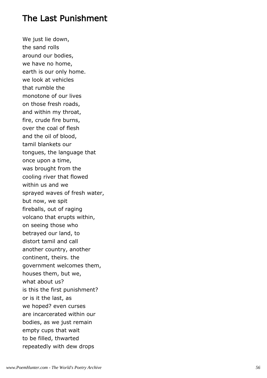### The Last Punishment

We just lie down, the sand rolls around our bodies, we have no home, earth is our only home. we look at vehicles that rumble the monotone of our lives on those fresh roads, and within my throat, fire, crude fire burns, over the coal of flesh and the oil of blood, tamil blankets our tongues, the language that once upon a time, was brought from the cooling river that flowed within us and we sprayed waves of fresh water, but now, we spit fireballs, out of raging volcano that erupts within, on seeing those who betrayed our land, to distort tamil and call another country, another continent, theirs. the government welcomes them, houses them, but we, what about us? is this the first punishment? or is it the last, as we hoped? even curses are incarcerated within our bodies, as we just remain empty cups that wait to be filled, thwarted repeatedly with dew drops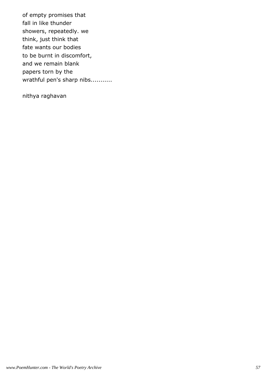of empty promises that fall in like thunder showers, repeatedly. we think, just think that fate wants our bodies to be burnt in discomfort, and we remain blank papers torn by the wrathful pen's sharp nibs...........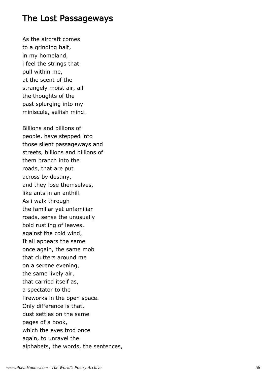#### The Lost Passageways

As the aircraft comes to a grinding halt, in my homeland, i feel the strings that pull within me, at the scent of the strangely moist air, all the thoughts of the past splurging into my miniscule, selfish mind.

Billions and billions of people, have stepped into those silent passageways and streets, billions and billions of them branch into the roads, that are put across by destiny, and they lose themselves, like ants in an anthill. As i walk through the familiar yet unfamiliar roads, sense the unusually bold rustling of leaves, against the cold wind, It all appears the same once again, the same mob that clutters around me on a serene evening, the same lively air, that carried itself as, a spectator to the fireworks in the open space. Only difference is that, dust settles on the same pages of a book, which the eyes trod once again, to unravel the alphabets, the words, the sentences,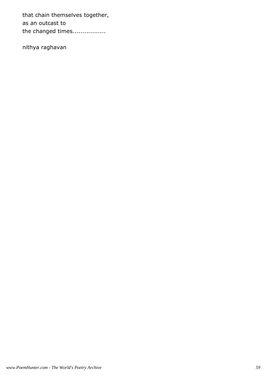that chain themselves together, as an outcast to the changed times.................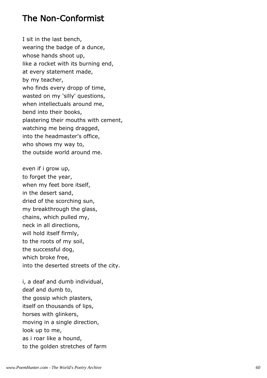#### The Non-Conformist

I sit in the last bench, wearing the badge of a dunce, whose hands shoot up, like a rocket with its burning end, at every statement made, by my teacher, who finds every dropp of time, wasted on my 'silly' questions, when intellectuals around me, bend into their books, plastering their mouths with cement, watching me being dragged, into the headmaster's office, who shows my way to, the outside world around me.

even if i grow up, to forget the year, when my feet bore itself, in the desert sand, dried of the scorching sun, my breakthrough the glass, chains, which pulled my, neck in all directions, will hold itself firmly, to the roots of my soil, the successful dog, which broke free, into the deserted streets of the city.

i, a deaf and dumb individual, deaf and dumb to, the gossip which plasters, itself on thousands of lips, horses with glinkers, moving in a single direction, look up to me, as i roar like a hound, to the golden stretches of farm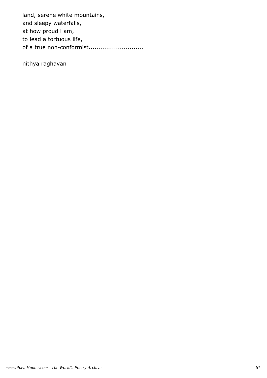land, serene white mountains, and sleepy waterfalls, at how proud i am, to lead a tortuous life, of a true non-conformist.............................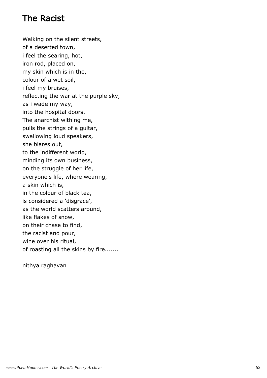# The Racist

Walking on the silent streets, of a deserted town, i feel the searing, hot, iron rod, placed on, my skin which is in the, colour of a wet soil, i feel my bruises, reflecting the war at the purple sky, as i wade my way, into the hospital doors, The anarchist withing me, pulls the strings of a guitar, swallowing loud speakers, she blares out, to the indifferent world, minding its own business, on the struggle of her life, everyone's life, where wearing, a skin which is, in the colour of black tea, is considered a 'disgrace', as the world scatters around, like flakes of snow, on their chase to find, the racist and pour, wine over his ritual, of roasting all the skins by fire.......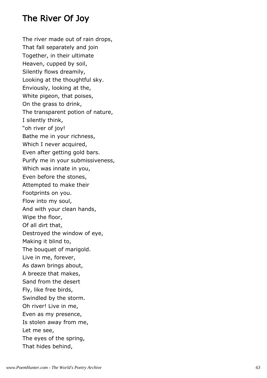# The River Of Joy

The river made out of rain drops, That fall separately and join Together, in their ultimate Heaven, cupped by soil, Silently flows dreamily, Looking at the thoughtful sky. Enviously, looking at the, White pigeon, that poises, On the grass to drink, The transparent potion of nature, I silently think, "oh river of joy! Bathe me in your richness, Which I never acquired, Even after getting gold bars. Purify me in your submissiveness, Which was innate in you, Even before the stones, Attempted to make their Footprints on you. Flow into my soul, And with your clean hands, Wipe the floor, Of all dirt that, Destroyed the window of eye, Making it blind to, The bouquet of marigold. Live in me, forever, As dawn brings about, A breeze that makes, Sand from the desert Fly, like free birds, Swindled by the storm. Oh river! Live in me, Even as my presence, Is stolen away from me, Let me see, The eyes of the spring, That hides behind,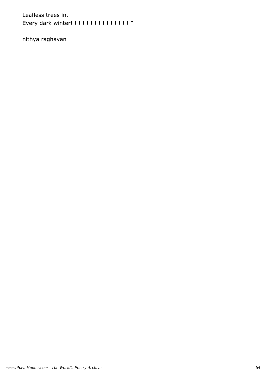Leafless trees in, Every dark winter! ! ! ! ! ! ! ! ! ! ! ! ! ! ! "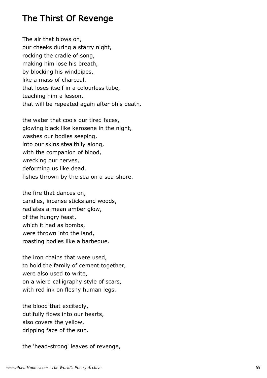#### The Thirst Of Revenge

The air that blows on, our cheeks during a starry night, rocking the cradle of song, making him lose his breath, by blocking his windpipes, like a mass of charcoal, that loses itself in a colourless tube, teaching him a lesson, that will be repeated again after bhis death.

the water that cools our tired faces, glowing black like kerosene in the night, washes our bodies seeping, into our skins stealthily along, with the companion of blood, wrecking our nerves, deforming us like dead, fishes thrown by the sea on a sea-shore.

the fire that dances on, candles, incense sticks and woods, radiates a mean amber glow, of the hungry feast, which it had as bombs, were thrown into the land, roasting bodies like a barbeque.

the iron chains that were used, to hold the family of cement together, were also used to write, on a wierd calligraphy style of scars, with red ink on fleshy human legs.

the blood that excitedly, dutifully flows into our hearts, also covers the yellow, dripping face of the sun.

the 'head-strong' leaves of revenge,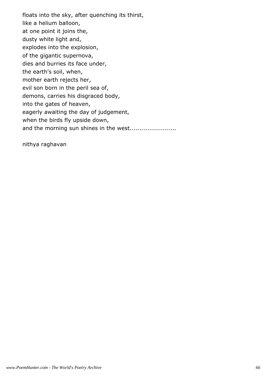floats into the sky, after quenching its thirst, like a helium balloon, at one point it joins the, dusty white light and, explodes into the explosion, of the gigantic supernova, dies and burries its face under, the earth's soil, when, mother earth rejects her, evil son born in the peril sea of, demons, carries his disgraced body, into the gates of heaven, eagerly awaiting the day of judgement, when the birds fly upside down, and the morning sun shines in the west.......................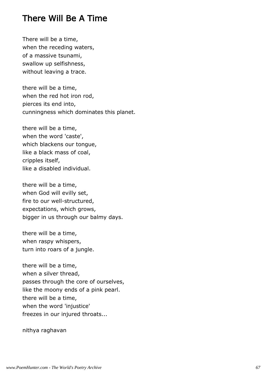### There Will Be A Time

There will be a time, when the receding waters, of a massive tsunami, swallow up selfishness, without leaving a trace.

there will be a time, when the red hot iron rod, pierces its end into, cunningness which dominates this planet.

there will be a time, when the word 'caste', which blackens our tongue, like a black mass of coal, cripples itself, like a disabled individual.

there will be a time, when God will evilly set, fire to our well-structured, expectations, which grows, bigger in us through our balmy days.

there will be a time, when raspy whispers, turn into roars of a jungle.

there will be a time, when a silver thread, passes through the core of ourselves, like the moony ends of a pink pearl. there will be a time, when the word 'injustice' freezes in our injured throats...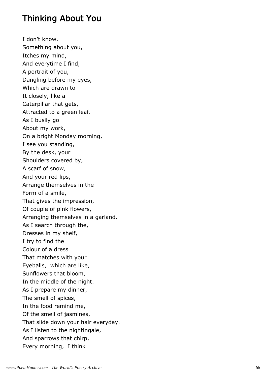### Thinking About You

I don't know. Something about you, Itches my mind, And everytime I find, A portrait of you, Dangling before my eyes, Which are drawn to It closely, like a Caterpillar that gets, Attracted to a green leaf. As I busily go About my work, On a bright Monday morning, I see you standing, By the desk, your Shoulders covered by, A scarf of snow, And your red lips, Arrange themselves in the Form of a smile, That gives the impression, Of couple of pink flowers, Arranging themselves in a garland. As I search through the, Dresses in my shelf, I try to find the Colour of a dress That matches with your Eyeballs, which are like, Sunflowers that bloom, In the middle of the night. As I prepare my dinner, The smell of spices, In the food remind me, Of the smell of jasmines, That slide down your hair everyday. As I listen to the nightingale, And sparrows that chirp, Every morning, I think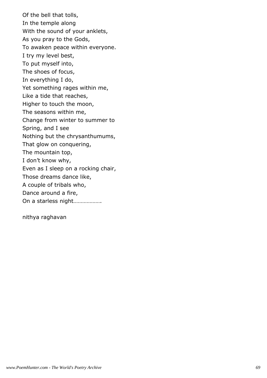Of the bell that tolls, In the temple along With the sound of your anklets, As you pray to the Gods, To awaken peace within everyone. I try my level best, To put myself into, The shoes of focus, In everything I do, Yet something rages within me, Like a tide that reaches, Higher to touch the moon, The seasons within me, Change from winter to summer to Spring, and I see Nothing but the chrysanthumums, That glow on conquering, The mountain top, I don't know why, Even as I sleep on a rocking chair, Those dreams dance like, A couple of tribals who, Dance around a fire, On a starless night……………….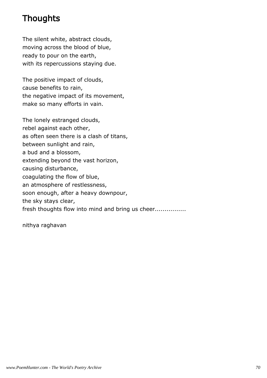# **Thoughts**

The silent white, abstract clouds, moving across the blood of blue, ready to pour on the earth, with its repercussions staying due.

The positive impact of clouds, cause benefits to rain, the negative impact of its movement, make so many efforts in vain.

The lonely estranged clouds, rebel against each other, as often seen there is a clash of titans, between sunlight and rain, a bud and a blossom, extending beyond the vast horizon, causing disturbance, coagulating the flow of blue, an atmosphere of restlessness, soon enough, after a heavy downpour, the sky stays clear, fresh thoughts flow into mind and bring us cheer...............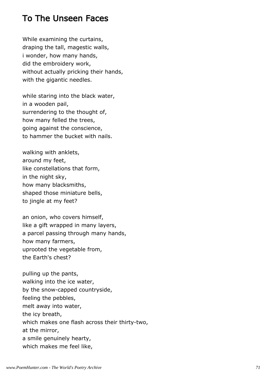## To The Unseen Faces

While examining the curtains, draping the tall, magestic walls, i wonder, how many hands, did the embroidery work, without actually pricking their hands, with the gigantic needles.

while staring into the black water, in a wooden pail, surrendering to the thought of, how many felled the trees, going against the conscience, to hammer the bucket with nails.

walking with anklets, around my feet, like constellations that form, in the night sky, how many blacksmiths, shaped those miniature bells, to jingle at my feet?

an onion, who covers himself, like a gift wrapped in many layers, a parcel passing through many hands, how many farmers, uprooted the vegetable from, the Earth's chest?

pulling up the pants, walking into the ice water, by the snow-capped countryside, feeling the pebbles, melt away into water, the icy breath, which makes one flash across their thirty-two, at the mirror, a smile genuinely hearty, which makes me feel like,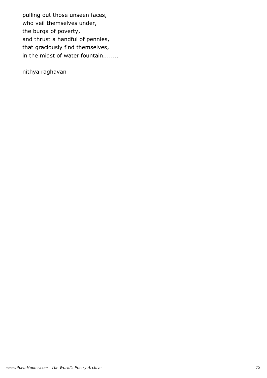pulling out those unseen faces, who veil themselves under, the burqa of poverty, and thrust a handful of pennies, that graciously find themselves, in the midst of water fountain........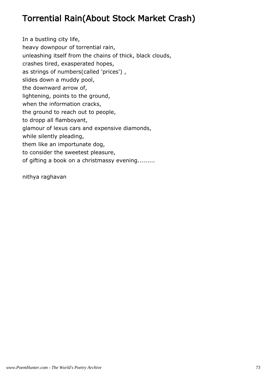# Torrential Rain(About Stock Market Crash)

In a bustling city life, heavy downpour of torrential rain, unleashing itself from the chains of thick, black clouds, crashes tired, exasperated hopes, as strings of numbers(called 'prices') , slides down a muddy pool, the downward arrow of, lightening, points to the ground, when the information cracks, the ground to reach out to people, to dropp all flamboyant, glamour of lexus cars and expensive diamonds, while silently pleading, them like an importunate dog, to consider the sweetest pleasure, of gifting a book on a christmassy evening.........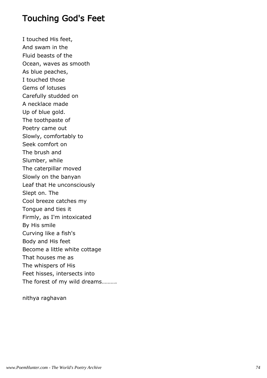### Touching God's Feet

I touched His feet, And swam in the Fluid beasts of the Ocean, waves as smooth As blue peaches, I touched those Gems of lotuses Carefully studded on A necklace made Up of blue gold. The toothpaste of Poetry came out Slowly, comfortably to Seek comfort on The brush and Slumber, while The caterpillar moved Slowly on the banyan Leaf that He unconsciously Slept on. The Cool breeze catches my Tongue and ties it Firmly, as I'm intoxicated By His smile Curving like a fish's Body and His feet Become a little white cottage That houses me as The whispers of His Feet hisses, intersects into The forest of my wild dreams……….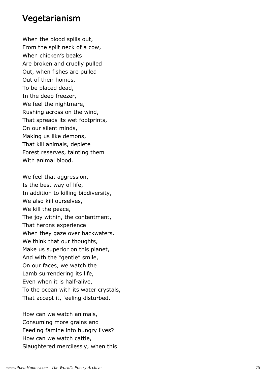#### Vegetarianism

When the blood spills out, From the split neck of a cow, When chicken's beaks Are broken and cruelly pulled Out, when fishes are pulled Out of their homes, To be placed dead, In the deep freezer, We feel the nightmare, Rushing across on the wind, That spreads its wet footprints, On our silent minds, Making us like demons, That kill animals, deplete Forest reserves, tainting them With animal blood.

We feel that aggression, Is the best way of life, In addition to killing biodiversity, We also kill ourselves, We kill the peace, The joy within, the contentment, That herons experience When they gaze over backwaters. We think that our thoughts, Make us superior on this planet, And with the "gentle" smile, On our faces, we watch the Lamb surrendering its life, Even when it is half-alive, To the ocean with its water crystals, That accept it, feeling disturbed.

How can we watch animals, Consuming more grains and Feeding famine into hungry lives? How can we watch cattle, Slaughtered mercilessly, when this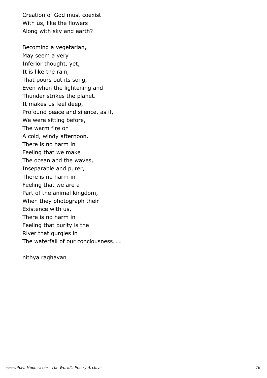Creation of God must coexist With us, like the flowers Along with sky and earth?

Becoming a vegetarian, May seem a very Inferior thought, yet, It is like the rain, That pours out its song, Even when the lightening and Thunder strikes the planet. It makes us feel deep, Profound peace and silence, as if, We were sitting before, The warm fire on A cold, windy afternoon. There is no harm in Feeling that we make The ocean and the waves, Inseparable and purer, There is no harm in Feeling that we are a Part of the animal kingdom, When they photograph their Existence with us, There is no harm in Feeling that purity is the River that gurgles in The waterfall of our conciousness……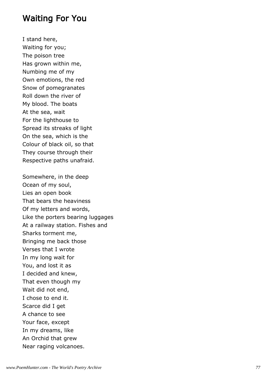### Waiting For You

I stand here, Waiting for you; The poison tree Has grown within me, Numbing me of my Own emotions, the red Snow of pomegranates Roll down the river of My blood. The boats At the sea, wait For the lighthouse to Spread its streaks of light On the sea, which is the Colour of black oil, so that They course through their Respective paths unafraid.

Somewhere, in the deep Ocean of my soul, Lies an open book That bears the heaviness Of my letters and words, Like the porters bearing luggages At a railway station. Fishes and Sharks torment me, Bringing me back those Verses that I wrote In my long wait for You, and lost it as I decided and knew, That even though my Wait did not end, I chose to end it. Scarce did I get A chance to see Your face, except In my dreams, like An Orchid that grew Near raging volcanoes.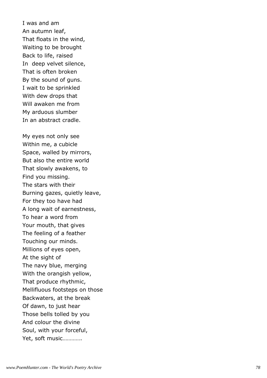I was and am An autumn leaf, That floats in the wind, Waiting to be brought Back to life, raised In deep velvet silence, That is often broken By the sound of guns. I wait to be sprinkled With dew drops that Will awaken me from My arduous slumber In an abstract cradle.

My eyes not only see Within me, a cubicle Space, walled by mirrors, But also the entire world That slowly awakens, to Find you missing. The stars with their Burning gazes, quietly leave, For they too have had A long wait of earnestness, To hear a word from Your mouth, that gives The feeling of a feather Touching our minds. Millions of eyes open, At the sight of The navy blue, merging With the orangish yellow, That produce rhythmic, Mellifluous footsteps on those Backwaters, at the break Of dawn, to just hear Those bells tolled by you And colour the divine Soul, with your forceful, Yet, soft music………….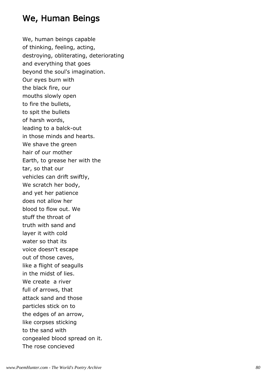# We, Human Beings

We, human beings capable of thinking, feeling, acting, destroying, obliterating, deteriorating and everything that goes beyond the soul's imagination. Our eyes burn with the black fire, our mouths slowly open to fire the bullets, to spit the bullets of harsh words, leading to a balck-out in those minds and hearts. We shave the green hair of our mother Earth, to grease her with the tar, so that our vehicles can drift swiftly, We scratch her body, and yet her patience does not allow her blood to flow out. We stuff the throat of truth with sand and layer it with cold water so that its voice doesn't escape out of those caves, like a flight of seagulls in the midst of lies. We create a river full of arrows, that attack sand and those particles stick on to the edges of an arrow, like corpses sticking to the sand with congealed blood spread on it. The rose concieved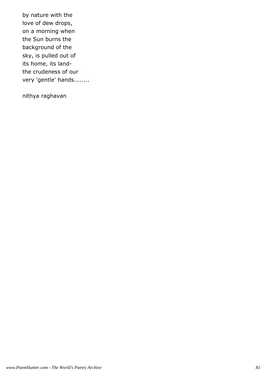by nature with the love of dew drops, on a morning when the Sun burns the background of the sky, is pulled out of its home, its landthe crudeness of our very 'gentle' hands........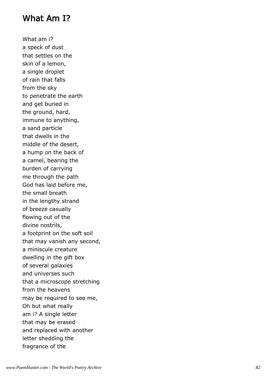## What Am I?

What am i? a speck of dust that settles on the skin of a lemon, a single droplet of rain that falls from the sky to penetrate the earth and get buried in the ground, hard, immune to anything, a sand particle that dwells in the middle of the desert, a hump on the back of a camel, bearing the burden of carrying me through the path God has laid before me, the small breath in the lengthy strand of breeze casually flowing out of the divine nostrils, a footprint on the soft soil that may vanish any second, a miniscule creature dwelling in the gift box of several galaxies and universes such that a microscope stretching from the heavens may be required to see me, Oh but what really am i? A single letter that may be erased and replaced with another letter shedding the fragrance of the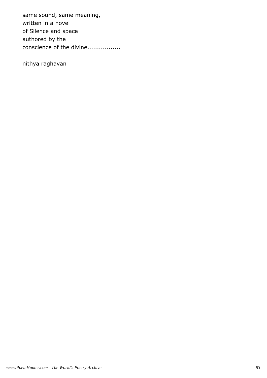same sound, same meaning, written in a novel of Silence and space authored by the conscience of the divine.................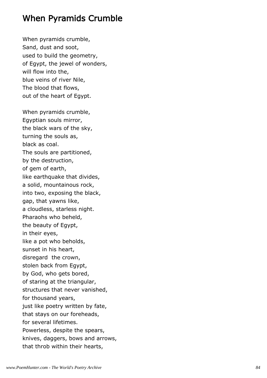# When Pyramids Crumble

When pyramids crumble, Sand, dust and soot, used to build the geometry, of Egypt, the jewel of wonders, will flow into the, blue veins of river Nile, The blood that flows, out of the heart of Egypt.

When pyramids crumble, Egyptian souls mirror, the black wars of the sky, turning the souls as, black as coal. The souls are partitioned, by the destruction, of gem of earth, like earthquake that divides, a solid, mountainous rock, into two, exposing the black, gap, that yawns like, a cloudless, starless night. Pharaohs who beheld, the beauty of Egypt, in their eyes, like a pot who beholds, sunset in his heart, disregard the crown, stolen back from Egypt, by God, who gets bored, of staring at the triangular, structures that never vanished, for thousand years, just like poetry written by fate, that stays on our foreheads, for several lifetimes. Powerless, despite the spears, knives, daggers, bows and arrows, that throb within their hearts,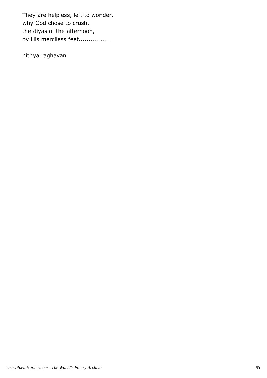They are helpless, left to wonder, why God chose to crush, the diyas of the afternoon, by His merciless feet.................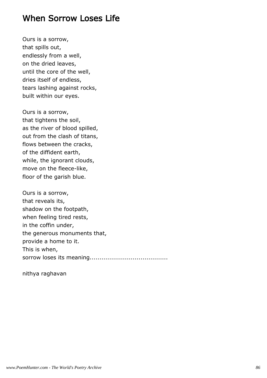### When Sorrow Loses Life

Ours is a sorrow, that spills out, endlessly from a well, on the dried leaves, until the core of the well, dries itself of endless, tears lashing against rocks, built within our eyes.

Ours is a sorrow, that tightens the soil, as the river of blood spilled, out from the clash of titans, flows between the cracks, of the diffident earth, while, the ignorant clouds, move on the fleece-like, floor of the garish blue.

Ours is a sorrow, that reveals its, shadow on the footpath, when feeling tired rests, in the coffin under, the generous monuments that, provide a home to it. This is when, sorrow loses its meaning........................................